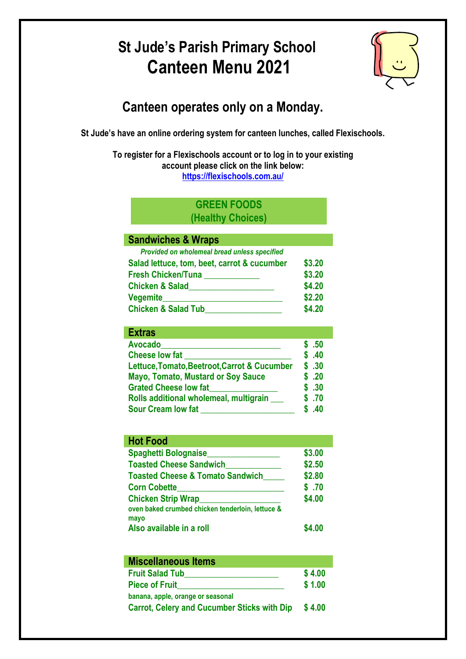# **St Jude's Parish Primary School Canteen Menu 2021**



## **Canteen operates only on a Monday.**

**St Jude's have an online ordering system for canteen lunches, called Flexischools.**

**To register for a Flexischools account or to log in to your existing account please click on the link below: <https://flexischools.com.au/>**

#### **GREEN FOODS (Healthy Choices)**

#### **Sandwiches & Wraps**

| Provided on wholemeal bread unless specified |        |
|----------------------------------------------|--------|
| Salad lettuce, tom, beet, carrot & cucumber  | \$3.20 |
| <b>Fresh Chicken/Tuna</b>                    | \$3.20 |
| <b>Chicken &amp; Salad</b>                   | \$4.20 |
| Vegemite                                     | \$2.20 |
| <b>Chicken &amp; Salad Tub</b>               | \$4.20 |

| <b>Extras</b>                                |        |
|----------------------------------------------|--------|
| <b>Avocado</b>                               | .50    |
| <b>Cheese low fat</b>                        | .40    |
| Lettuce, Tomato, Beetroot, Carrot & Cucumber | \$.30  |
| <b>Mayo, Tomato, Mustard or Soy Sauce</b>    | \$.20  |
| <b>Grated Cheese low fat</b>                 | .30    |
| Rolls additional wholemeal, multigrain       | \$ .70 |
| <b>Sour Cream low fat</b>                    | 40     |

| <b>Hot Food</b>                                  |        |
|--------------------------------------------------|--------|
| <b>Spaghetti Bolognaise</b>                      | \$3.00 |
| <b>Toasted Cheese Sandwich</b>                   | \$2.50 |
| <b>Toasted Cheese &amp; Tomato Sandwich</b>      | \$2.80 |
| <b>Corn Cobette</b>                              | \$.70  |
| <b>Chicken Strip Wrap</b>                        | \$4.00 |
| oven baked crumbed chicken tenderloin, lettuce & |        |
| mayo                                             |        |
| Also available in a roll                         |        |

| <b>Miscellaneous Items</b>                         |        |
|----------------------------------------------------|--------|
| <b>Fruit Salad Tub</b>                             | \$4.00 |
| <b>Piece of Fruit</b>                              | \$1.00 |
| banana, apple, orange or seasonal                  |        |
| <b>Carrot, Celery and Cucumber Sticks with Dip</b> | \$4.00 |